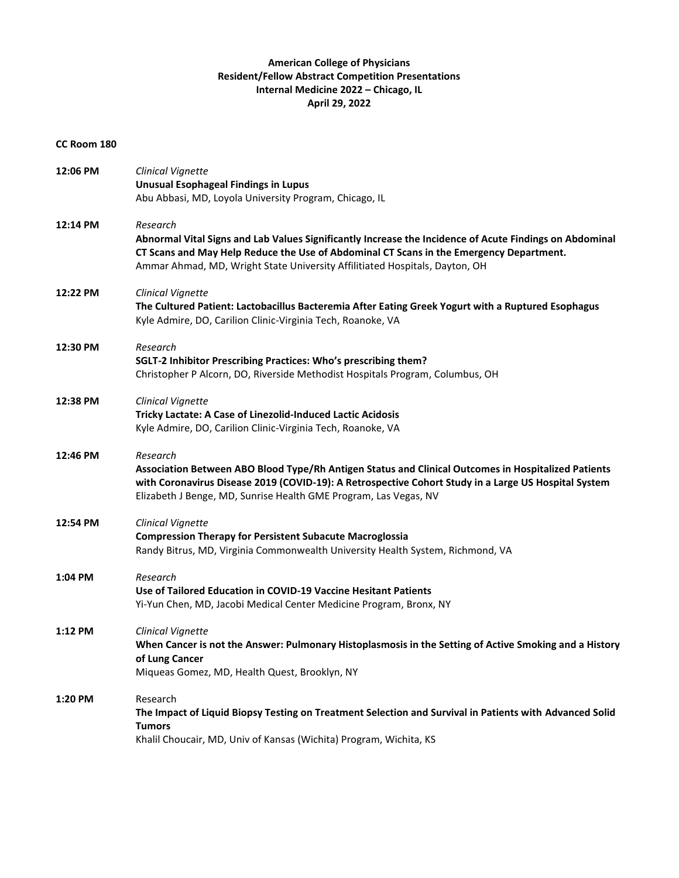## **American College of Physicians Resident/Fellow Abstract Competition Presentations Internal Medicine 2022 – Chicago, IL April 29, 2022**

## **CC Room 180**

| 12:06 PM | Clinical Vignette<br><b>Unusual Esophageal Findings in Lupus</b><br>Abu Abbasi, MD, Loyola University Program, Chicago, IL                                                                                                                                                                    |
|----------|-----------------------------------------------------------------------------------------------------------------------------------------------------------------------------------------------------------------------------------------------------------------------------------------------|
| 12:14 PM | Research<br>Abnormal Vital Signs and Lab Values Significantly Increase the Incidence of Acute Findings on Abdominal<br>CT Scans and May Help Reduce the Use of Abdominal CT Scans in the Emergency Department.<br>Ammar Ahmad, MD, Wright State University Affilitiated Hospitals, Dayton, OH |
| 12:22 PM | Clinical Vignette<br>The Cultured Patient: Lactobacillus Bacteremia After Eating Greek Yogurt with a Ruptured Esophagus<br>Kyle Admire, DO, Carilion Clinic-Virginia Tech, Roanoke, VA                                                                                                        |
| 12:30 PM | Research<br>SGLT-2 Inhibitor Prescribing Practices: Who's prescribing them?<br>Christopher P Alcorn, DO, Riverside Methodist Hospitals Program, Columbus, OH                                                                                                                                  |
| 12:38 PM | Clinical Vignette<br>Tricky Lactate: A Case of Linezolid-Induced Lactic Acidosis<br>Kyle Admire, DO, Carilion Clinic-Virginia Tech, Roanoke, VA                                                                                                                                               |
| 12:46 PM | Research<br>Association Between ABO Blood Type/Rh Antigen Status and Clinical Outcomes in Hospitalized Patients<br>with Coronavirus Disease 2019 (COVID-19): A Retrospective Cohort Study in a Large US Hospital System<br>Elizabeth J Benge, MD, Sunrise Health GME Program, Las Vegas, NV   |
| 12:54 PM | Clinical Vignette<br><b>Compression Therapy for Persistent Subacute Macroglossia</b><br>Randy Bitrus, MD, Virginia Commonwealth University Health System, Richmond, VA                                                                                                                        |
| 1:04 PM  | Research<br>Use of Tailored Education in COVID-19 Vaccine Hesitant Patients<br>Yi-Yun Chen, MD, Jacobi Medical Center Medicine Program, Bronx, NY                                                                                                                                             |
| 1:12 PM  | Clinical Vignette<br>When Cancer is not the Answer: Pulmonary Histoplasmosis in the Setting of Active Smoking and a History<br>of Lung Cancer<br>Miqueas Gomez, MD, Health Quest, Brooklyn, NY                                                                                                |
| 1:20 PM  | Research<br>The Impact of Liquid Biopsy Testing on Treatment Selection and Survival in Patients with Advanced Solid<br><b>Tumors</b><br>Khalil Choucair, MD, Univ of Kansas (Wichita) Program, Wichita, KS                                                                                    |